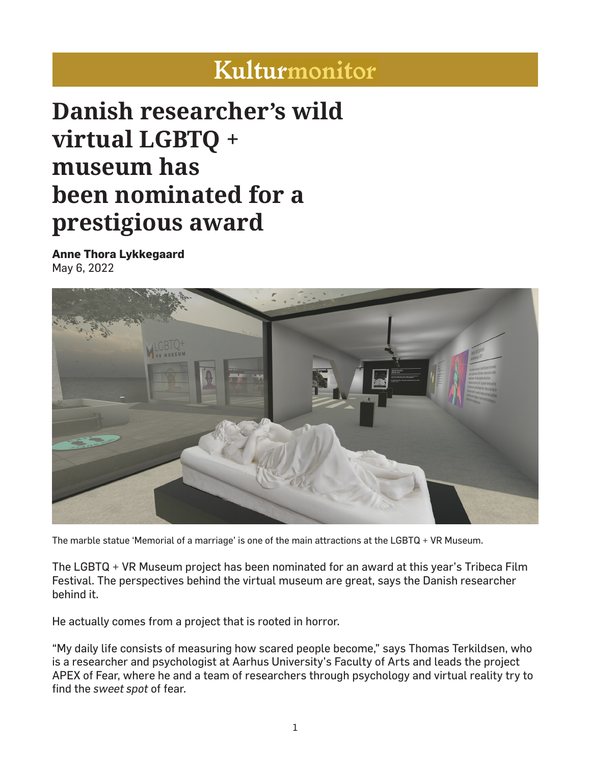## Kulturmonitor

## **Danish researcher's wild virtual LGBTQ + museum has been nominated for a prestigious award**

**Anne Thora Lykkegaard** May 6, 2022



The marble statue 'Memorial of a marriage' is one of the main attractions at the LGBTQ + VR Museum.

The LGBTQ + VR Museum project has been nominated for an award at this year's Tribeca Film Festival. The perspectives behind the virtual museum are great, says the Danish researcher behind it.

He actually comes from a project that is rooted in horror.

"My daily life consists of measuring how scared people become," says Thomas Terkildsen, who is a researcher and psychologist at Aarhus University's Faculty of Arts and leads the project APEX of Fear, where he and a team of researchers through psychology and virtual reality try to find the *sweet spot* of fear.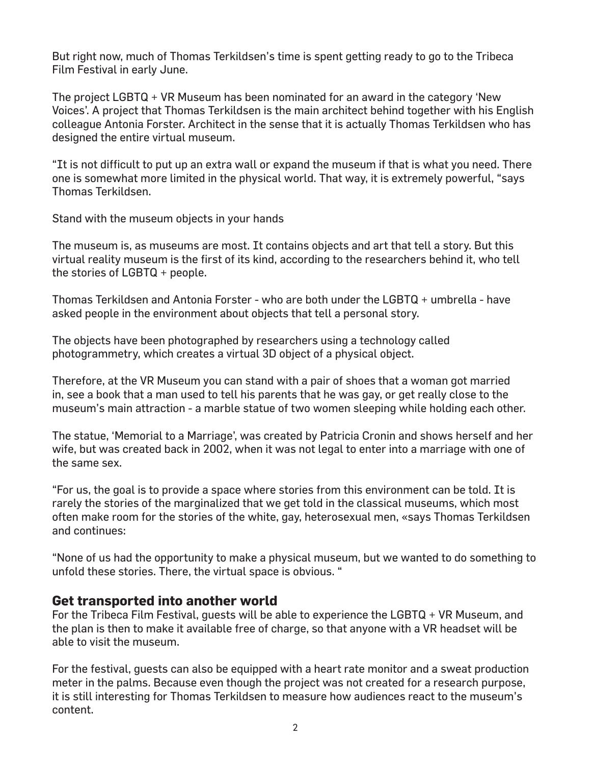But right now, much of Thomas Terkildsen's time is spent getting ready to go to the Tribeca Film Festival in early June.

The project LGBTQ + VR Museum has been nominated for an award in the category 'New Voices'. A project that Thomas Terkildsen is the main architect behind together with his English colleague Antonia Forster. Architect in the sense that it is actually Thomas Terkildsen who has designed the entire virtual museum.

"It is not difficult to put up an extra wall or expand the museum if that is what you need. There one is somewhat more limited in the physical world. That way, it is extremely powerful, "says Thomas Terkildsen.

Stand with the museum objects in your hands

The museum is, as museums are most. It contains objects and art that tell a story. But this virtual reality museum is the first of its kind, according to the researchers behind it, who tell the stories of LGBTQ + people.

Thomas Terkildsen and Antonia Forster - who are both under the LGBTQ + umbrella - have asked people in the environment about objects that tell a personal story.

The objects have been photographed by researchers using a technology called photogrammetry, which creates a virtual 3D object of a physical object.

Therefore, at the VR Museum you can stand with a pair of shoes that a woman got married in, see a book that a man used to tell his parents that he was gay, or get really close to the museum's main attraction - a marble statue of two women sleeping while holding each other.

The statue, 'Memorial to a Marriage', was created by Patricia Cronin and shows herself and her wife, but was created back in 2002, when it was not legal to enter into a marriage with one of the same sex.

"For us, the goal is to provide a space where stories from this environment can be told. It is rarely the stories of the marginalized that we get told in the classical museums, which most often make room for the stories of the white, gay, heterosexual men, «says Thomas Terkildsen and continues:

"None of us had the opportunity to make a physical museum, but we wanted to do something to unfold these stories. There, the virtual space is obvious. "

## **Get transported into another world**

For the Tribeca Film Festival, guests will be able to experience the LGBTQ + VR Museum, and the plan is then to make it available free of charge, so that anyone with a VR headset will be able to visit the museum.

For the festival, guests can also be equipped with a heart rate monitor and a sweat production meter in the palms. Because even though the project was not created for a research purpose, it is still interesting for Thomas Terkildsen to measure how audiences react to the museum's content.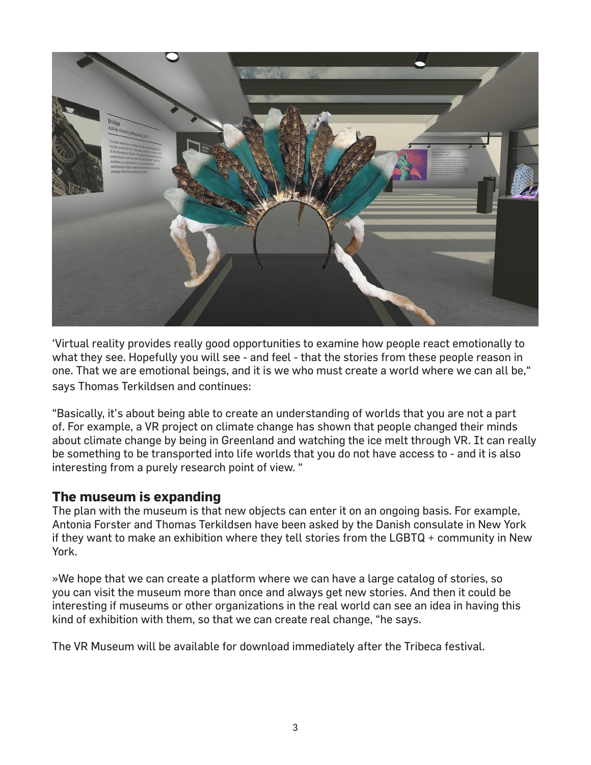

'Virtual reality provides really good opportunities to examine how people react emotionally to what they see. Hopefully you will see - and feel - that the stories from these people reason in one. That we are emotional beings, and it is we who must create a world where we can all be," says Thomas Terkildsen and continues:

"Basically, it's about being able to create an understanding of worlds that you are not a part of. For example, a VR project on climate change has shown that people changed their minds about climate change by being in Greenland and watching the ice melt through VR. It can really be something to be transported into life worlds that you do not have access to - and it is also interesting from a purely research point of view. "

## **The museum is expanding**

The plan with the museum is that new objects can enter it on an ongoing basis. For example, Antonia Forster and Thomas Terkildsen have been asked by the Danish consulate in New York if they want to make an exhibition where they tell stories from the LGBTQ + community in New York.

»We hope that we can create a platform where we can have a large catalog of stories, so you can visit the museum more than once and always get new stories. And then it could be interesting if museums or other organizations in the real world can see an idea in having this kind of exhibition with them, so that we can create real change, "he says.

The VR Museum will be available for download immediately after the Tribeca festival.